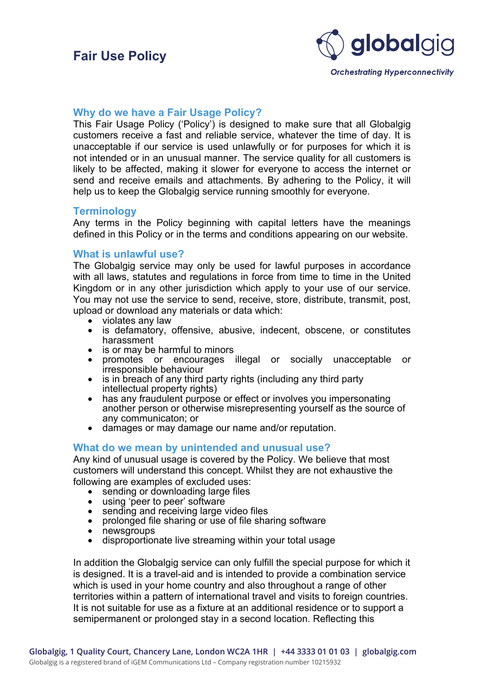

## **Why do we have a Fair Usage Policy?**

This Fair Usage Policy ('Policy') is designed to make sure that all Globalgig customers receive a fast and reliable service, whatever the time of day. It is unacceptable if our service is used unlawfully or for purposes for which it is not intended or in an unusual manner. The service quality for all customers is likely to be affected, making it slower for everyone to access the internet or send and receive emails and attachments. By adhering to the Policy, it will help us to keep the Globalgig service running smoothly for everyone.

### **Terminology**

Any terms in the Policy beginning with capital letters have the meanings defined in this Policy or in the terms and conditions appearing on our website.

### **What is unlawful use?**

The Globalgig service may only be used for lawful purposes in accordance with all laws, statutes and regulations in force from time to time in the United Kingdom or in any other jurisdiction which apply to your use of our service. You may not use the service to send, receive, store, distribute, transmit, post, upload or download any materials or data which:

- 
- violates any law<br>• is defamatory, offensive, abusive, indecent, obscene, or constitutes
- 
- is or may be harmful to minors<br>• is or may be harmful to minors<br>• promotes or encourages illegal or socially unacceptable or<br>irresponsible behaviour
- is in breach of any third party rights (including any third party intellectual property rights)
- has any fraudulent purpose or effect or involves you impersonating another person or otherwise misrepresenting yourself as the source of any communicaton; or
- damages or may damage our name and/or reputation.

## **What do we mean by unintended and unusual use?**

Any kind of unusual usage is covered by the Policy. We believe that most customers will understand this concept. Whilst they are not exhaustive the

- 
- 
- 
- following are examples of excluded uses:<br>
 sending or downloading large files<br>
 using 'peer to peer' software<br>
 sending and receiving large video files<br>
 prolonged file sharing or use of file sharing software<br>
 newsgr
	-
	- disproportionate live streaming within your total usage

In addition the Globalgig service can only fulfill the special purpose for which it is designed. It is a travel-aid and is intended to provide a combination service which is used in your home country and also throughout a range of other territories within a pattern of international travel and visits to foreign countries. It is not suitable for use as a fixture at an additional residence or to support a semipermanent or prolonged stay in a second location. Reflecting this